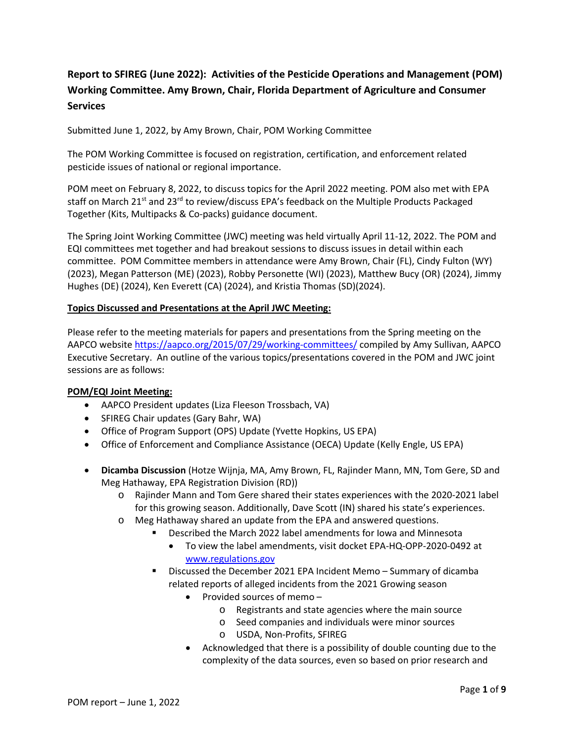# **Report to SFIREG (June 2022): Activities of the Pesticide Operations and Management (POM) Working Committee. Amy Brown, Chair, Florida Department of Agriculture and Consumer Services**

Submitted June 1, 2022, by Amy Brown, Chair, POM Working Committee

The POM Working Committee is focused on registration, certification, and enforcement related pesticide issues of national or regional importance.

POM meet on February 8, 2022, to discuss topics for the April 2022 meeting. POM also met with EPA staff on March 21<sup>st</sup> and 23<sup>rd</sup> to review/discuss EPA's feedback on the Multiple Products Packaged Together (Kits, Multipacks & Co-packs) guidance document.

The Spring Joint Working Committee (JWC) meeting was held virtually April 11-12, 2022. The POM and EQI committees met together and had breakout sessions to discuss issues in detail within each committee. POM Committee members in attendance were Amy Brown, Chair (FL), Cindy Fulton (WY) (2023), Megan Patterson (ME) (2023), Robby Personette (WI) (2023), Matthew Bucy (OR) (2024), Jimmy Hughes (DE) (2024), Ken Everett (CA) (2024), and Kristia Thomas (SD)(2024).

### **Topics Discussed and Presentations at the April JWC Meeting:**

Please refer to the meeting materials for papers and presentations from the Spring meeting on the AAPCO website <https://aapco.org/2015/07/29/working-committees/> compiled by Amy Sullivan, AAPCO Executive Secretary. An outline of the various topics/presentations covered in the POM and JWC joint sessions are as follows:

#### **POM/EQI Joint Meeting:**

- AAPCO President updates (Liza Fleeson Trossbach, VA)
- SFIREG Chair updates (Gary Bahr, WA)
- Office of Program Support (OPS) Update (Yvette Hopkins, US EPA)
- Office of Enforcement and Compliance Assistance (OECA) Update (Kelly Engle, US EPA)
- **Dicamba Discussion** (Hotze Wijnja, MA, Amy Brown, FL, Rajinder Mann, MN, Tom Gere, SD and Meg Hathaway, EPA Registration Division (RD))
	- o Rajinder Mann and Tom Gere shared their states experiences with the 2020-2021 label for this growing season. Additionally, Dave Scott (IN) shared his state's experiences.
	- o Meg Hathaway shared an update from the EPA and answered questions.
		- Described the March 2022 label amendments for Iowa and Minnesota
			- To view the label amendments, visit docket EPA-HQ-OPP-2020-0492 at [www.regulations.gov](res://%5C%5CG2MResource_en.dll/www.regulations.gov)
		- Discussed the December 2021 EPA Incident Memo Summary of dicamba related reports of alleged incidents from the 2021 Growing season
			- Provided sources of memo
				- o Registrants and state agencies where the main source
				- o Seed companies and individuals were minor sources
				- o USDA, Non-Profits, SFIREG
			- Acknowledged that there is a possibility of double counting due to the complexity of the data sources, even so based on prior research and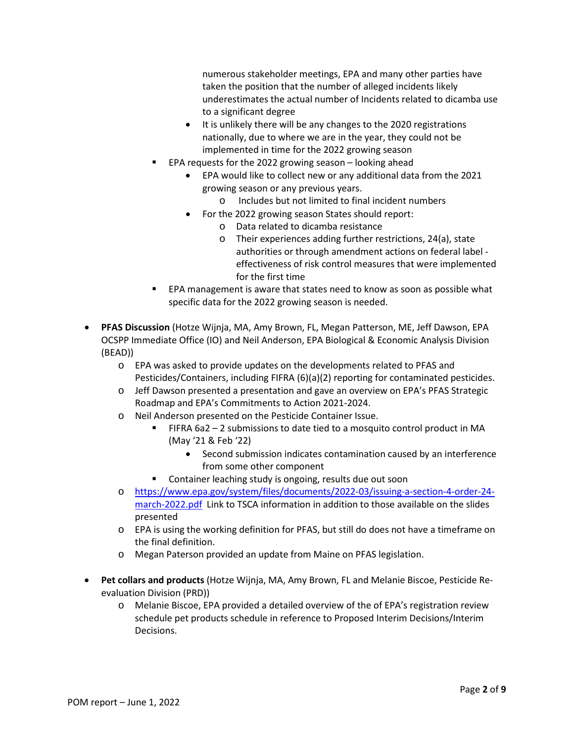numerous stakeholder meetings, EPA and many other parties have taken the position that the number of alleged incidents likely underestimates the actual number of Incidents related to dicamba use to a significant degree

- It is unlikely there will be any changes to the 2020 registrations nationally, due to where we are in the year, they could not be implemented in time for the 2022 growing season
- EPA requests for the 2022 growing season looking ahead
	- EPA would like to collect new or any additional data from the 2021 growing season or any previous years.
		- o Includes but not limited to final incident numbers
	- For the 2022 growing season States should report:
		- o Data related to dicamba resistance
		- o Their experiences adding further restrictions, 24(a), state authorities or through amendment actions on federal label effectiveness of risk control measures that were implemented for the first time
- EPA management is aware that states need to know as soon as possible what specific data for the 2022 growing season is needed.
- **PFAS Discussion** (Hotze Wijnja, MA, Amy Brown, FL, Megan Patterson, ME, Jeff Dawson, EPA OCSPP Immediate Office (IO) and Neil Anderson, EPA Biological & Economic Analysis Division (BEAD))
	- o EPA was asked to provide updates on the developments related to PFAS and Pesticides/Containers, including FIFRA (6)(a)(2) reporting for contaminated pesticides.
	- o Jeff Dawson presented a presentation and gave an overview on EPA's PFAS Strategic Roadmap and EPA's Commitments to Action 2021-2024.
	- o Neil Anderson presented on the Pesticide Container Issue.
		- FIFRA 6a2 2 submissions to date tied to a mosquito control product in MA (May '21 & Feb '22)
			- Second submission indicates contamination caused by an interference from some other component
		- Container leaching study is ongoing, results due out soon
	- o [https://www.epa.gov/system/files/documents/2022-03/issuing-a-section-4-order-24](https://www.epa.gov/system/files/documents/2022-03/issuing-a-section-4-order-24-march-2022.pdf) [march-2022.pdf](https://www.epa.gov/system/files/documents/2022-03/issuing-a-section-4-order-24-march-2022.pdf) Link to TSCA information in addition to those available on the slides presented
	- o EPA is using the working definition for PFAS, but still do does not have a timeframe on the final definition.
	- o Megan Paterson provided an update from Maine on PFAS legislation.
- **Pet collars and products** (Hotze Wijnja, MA, Amy Brown, FL and Melanie Biscoe, Pesticide Reevaluation Division (PRD))
	- o Melanie Biscoe, EPA provided a detailed overview of the of EPA's registration review schedule pet products schedule in reference to Proposed Interim Decisions/Interim Decisions.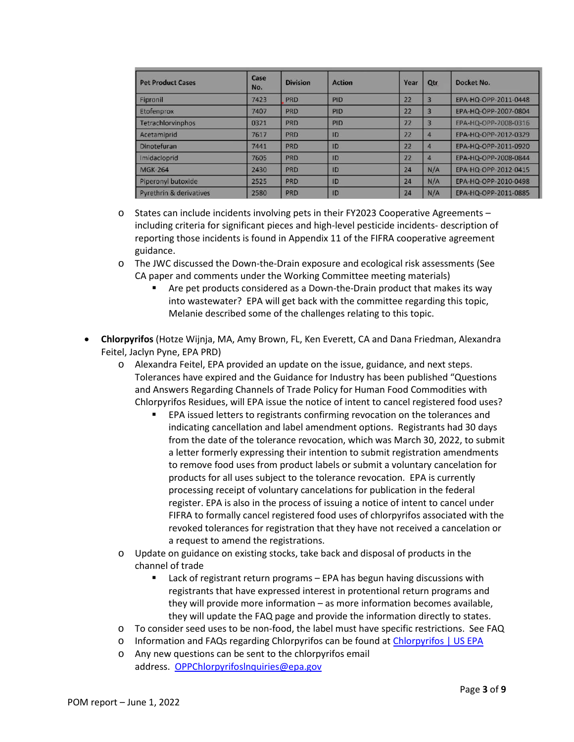| <b>Pet Product Cases</b>           | Case<br>No. | <b>Division</b> | <b>Action</b> | Year | Qtr            | Docket No.           |
|------------------------------------|-------------|-----------------|---------------|------|----------------|----------------------|
| Fipronil                           | 7423        | <b>PRD</b>      | PID           | 22   | $\overline{3}$ | EPA-HQ-OPP-2011-0448 |
| Etofenprox                         | 7407        | <b>PRD</b>      | PID           | 22   | $\overline{3}$ | EPA-HQ-OPP-2007-0804 |
| Tetrachlorvinphos                  | 0321        | <b>PRD</b>      | PID           | 22   | 3              | EPA-HQ-OPP-2008-0316 |
| Acetamiprid                        | 7617        | <b>PRD</b>      | ID            | 22   | 4              | EPA-HQ-OPP-2012-0329 |
| Dinotefuran                        | 7441        | <b>PRD</b>      | ID            | 22   | 4              | EPA-HQ-OPP-2011-0920 |
| Imidacloprid                       | 7605        | <b>PRD</b>      | 1D            | 22   | 4              | EPA-HQ-OPP-2008-0844 |
| <b>MGK-264</b>                     | 2430        | PRD             | ID            | 24   | N/A            | EPA-HQ-OPP-2012-0415 |
| Piperonyl butoxide                 | 2525        | <b>PRD</b>      | ID            | 24   | N/A            | EPA-HQ-OPP-2010-0498 |
| <b>Pyrethrin &amp; derivatives</b> | 2580        | PRD             | ID            | 24   | N/A            | EPA-HQ-OPP-2011-0885 |

- o States can include incidents involving pets in their FY2023 Cooperative Agreements including criteria for significant pieces and high-level pesticide incidents- description of reporting those incidents is found in Appendix 11 of the FIFRA cooperative agreement guidance.
- o The JWC discussed the Down-the-Drain exposure and ecological risk assessments (See CA paper and comments under the Working Committee meeting materials)
	- Are pet products considered as a Down-the-Drain product that makes its way into wastewater? EPA will get back with the committee regarding this topic, Melanie described some of the challenges relating to this topic.
- **Chlorpyrifos** (Hotze Wijnja, MA, Amy Brown, FL, Ken Everett, CA and Dana Friedman, Alexandra Feitel, Jaclyn Pyne, EPA PRD)
	- o Alexandra Feitel, EPA provided an update on the issue, guidance, and next steps. Tolerances have expired and the Guidance for Industry has been published "Questions and Answers Regarding Channels of Trade Policy for Human Food Commodities with Chlorpyrifos Residues, will EPA issue the notice of intent to cancel registered food uses?
		- EPA issued letters to registrants confirming revocation on the tolerances and indicating cancellation and label amendment options. Registrants had 30 days from the date of the tolerance revocation, which was March 30, 2022, to submit a letter formerly expressing their intention to submit registration amendments to remove food uses from product labels or submit a voluntary cancelation for products for all uses subject to the tolerance revocation. EPA is currently processing receipt of voluntary cancelations for publication in the federal register. EPA is also in the process of issuing a notice of intent to cancel under FIFRA to formally cancel registered food uses of chlorpyrifos associated with the revoked tolerances for registration that they have not received a cancelation or a request to amend the registrations.
	- o Update on guidance on existing stocks, take back and disposal of products in the channel of trade
		- Lack of registrant return programs EPA has begun having discussions with registrants that have expressed interest in protentional return programs and they will provide more information – as more information becomes available, they will update the FAQ page and provide the information directly to states.
	- o To consider seed uses to be non-food, the label must have specific restrictions. See FAQ
	- o Information and FAQs regarding Chlorpyrifos can be found at [Chlorpyrifos | US EPA](https://www.epa.gov/ingredients-used-pesticide-products/chlorpyrifos)
	- o Any new questions can be sent to the chlorpyrifos email address. [OPPChlorpyrifoslnquiries@epa.gov](mailto:OPPChlorpyrifoslnquiries@epa.gov)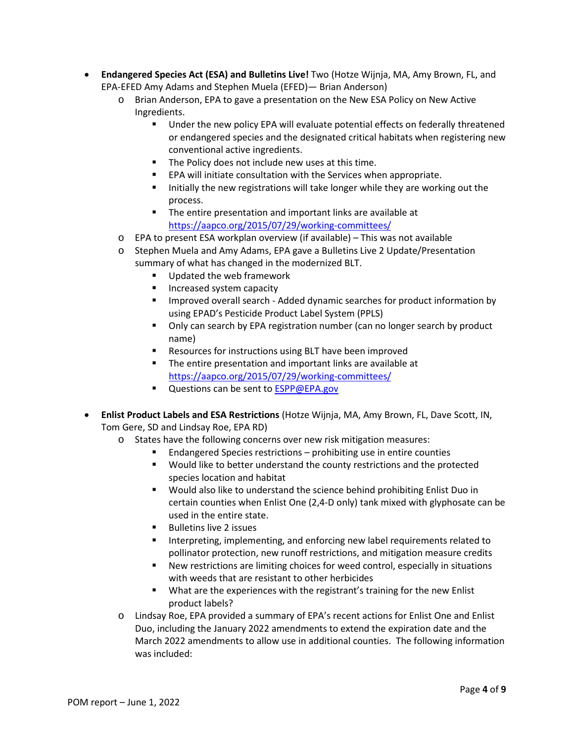- **Endangered Species Act (ESA) and Bulletins Live!** Two (Hotze Wijnja, MA, Amy Brown, FL, and EPA-EFED Amy Adams and Stephen Muela (EFED)— Brian Anderson)
	- o Brian Anderson, EPA to gave a presentation on the New ESA Policy on New Active Ingredients.
		- Under the new policy EPA will evaluate potential effects on federally threatened or endangered species and the designated critical habitats when registering new conventional active ingredients.
		- The Policy does not include new uses at this time.
		- **EPA will initiate consultation with the Services when appropriate.**
		- Initially the new registrations will take longer while they are working out the process.
		- **The entire presentation and important links are available at** <https://aapco.org/2015/07/29/working-committees/>
	- o EPA to present ESA workplan overview (if available) This was not available
	- o Stephen Muela and Amy Adams, EPA gave a Bulletins Live 2 Update/Presentation summary of what has changed in the modernized BLT.
		- Updated the web framework
		- **Increased system capacity**
		- Improved overall search Added dynamic searches for product information by using EPAD's Pesticide Product Label System (PPLS)
		- Only can search by EPA registration number (can no longer search by product name)
		- Resources for instructions using BLT have been improved
		- The entire presentation and important links are available at <https://aapco.org/2015/07/29/working-committees/>
		- Questions can be sent to **ESPP@EPA.gov**
- **Enlist Product Labels and ESA Restrictions** (Hotze Wijnja, MA, Amy Brown, FL, Dave Scott, IN, Tom Gere, SD and Lindsay Roe, EPA RD)
	- o States have the following concerns over new risk mitigation measures:
		- Endangered Species restrictions prohibiting use in entire counties
		- Would like to better understand the county restrictions and the protected species location and habitat
		- **Would also like to understand the science behind prohibiting Enlist Duo in** certain counties when Enlist One (2,4-D only) tank mixed with glyphosate can be used in the entire state.
		- **Bulletins live 2 issues**
		- **Interpreting, implementing, and enforcing new label requirements related to** pollinator protection, new runoff restrictions, and mitigation measure credits
		- New restrictions are limiting choices for weed control, especially in situations with weeds that are resistant to other herbicides
		- What are the experiences with the registrant's training for the new Enlist product labels?
	- o Lindsay Roe, EPA provided a summary of EPA's recent actions for Enlist One and Enlist Duo, including the January 2022 amendments to extend the expiration date and the March 2022 amendments to allow use in additional counties. The following information was included: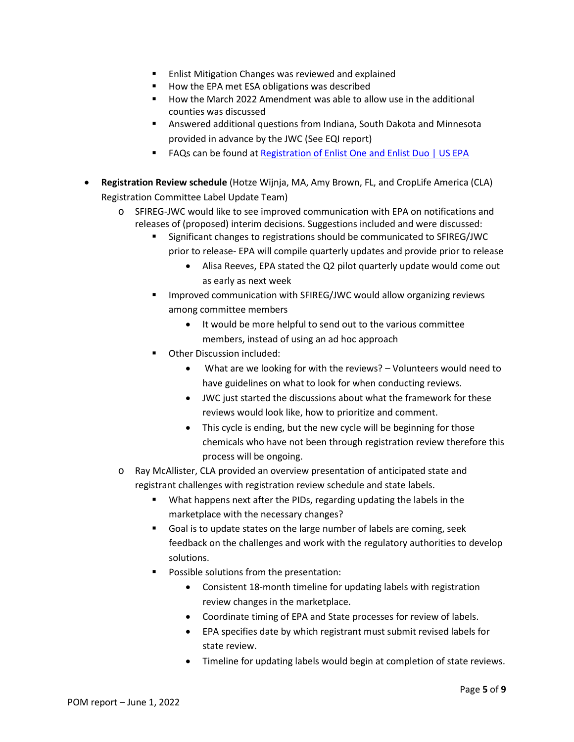- Enlist Mitigation Changes was reviewed and explained
- How the EPA met ESA obligations was described
- How the March 2022 Amendment was able to allow use in the additional counties was discussed
- Answered additional questions from Indiana, South Dakota and Minnesota provided in advance by the JWC (See EQI report)
- FAQs can be found at [Registration of Enlist One and Enlist Duo | US EPA](https://www.epa.gov/ingredients-used-pesticide-products/registration-enlist-one-and-enlist-duo)
- **Registration Review schedule** (Hotze Wijnja, MA, Amy Brown, FL, and CropLife America (CLA) Registration Committee Label Update Team)
	- o SFIREG-JWC would like to see improved communication with EPA on notifications and releases of (proposed) interim decisions. Suggestions included and were discussed:
		- Significant changes to registrations should be communicated to SFIREG/JWC prior to release- EPA will compile quarterly updates and provide prior to release
			- Alisa Reeves, EPA stated the Q2 pilot quarterly update would come out as early as next week
		- Improved communication with SFIREG/JWC would allow organizing reviews among committee members
			- It would be more helpful to send out to the various committee members, instead of using an ad hoc approach
		- Other Discussion included:
			- What are we looking for with the reviews? Volunteers would need to have guidelines on what to look for when conducting reviews.
			- JWC just started the discussions about what the framework for these reviews would look like, how to prioritize and comment.
			- This cycle is ending, but the new cycle will be beginning for those chemicals who have not been through registration review therefore this process will be ongoing.
	- o Ray McAllister, CLA provided an overview presentation of anticipated state and registrant challenges with registration review schedule and state labels.
		- **What happens next after the PIDs, regarding updating the labels in the** marketplace with the necessary changes?
		- Goal is to update states on the large number of labels are coming, seek feedback on the challenges and work with the regulatory authorities to develop solutions.
		- Possible solutions from the presentation:
			- Consistent 18-month timeline for updating labels with registration review changes in the marketplace.
			- Coordinate timing of EPA and State processes for review of labels.
			- EPA specifies date by which registrant must submit revised labels for state review.
			- Timeline for updating labels would begin at completion of state reviews.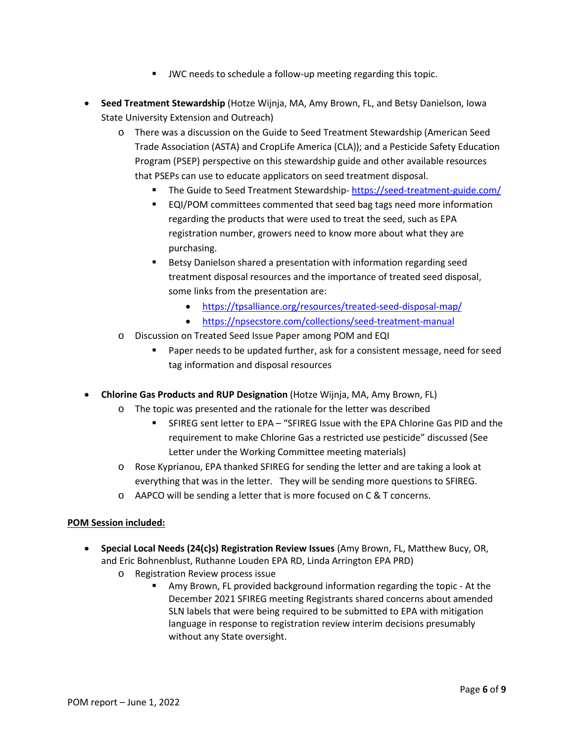- JWC needs to schedule a follow-up meeting regarding this topic.
- **Seed Treatment Stewardship** (Hotze Wijnja, MA, Amy Brown, FL, and Betsy Danielson, Iowa State University Extension and Outreach)
	- o There was a discussion on the Guide to Seed Treatment Stewardship (American Seed Trade Association (ASTA) and CropLife America (CLA)); and a Pesticide Safety Education Program (PSEP) perspective on this stewardship guide and other available resources that PSEPs can use to educate applicators on seed treatment disposal.
		- The Guide to Seed Treatment Stewardship- <https://seed-treatment-guide.com/>
		- EQI/POM committees commented that seed bag tags need more information regarding the products that were used to treat the seed, such as EPA registration number, growers need to know more about what they are purchasing.
		- **Betsy Danielson shared a presentation with information regarding seed** treatment disposal resources and the importance of treated seed disposal, some links from the presentation are:
			- <https://tpsalliance.org/resources/treated-seed-disposal-map/>
			- <https://npsecstore.com/collections/seed-treatment-manual>
	- o Discussion on Treated Seed Issue Paper among POM and EQI
		- Paper needs to be updated further, ask for a consistent message, need for seed tag information and disposal resources
- **Chlorine Gas Products and RUP Designation** (Hotze Wijnja, MA, Amy Brown, FL)
	- o The topic was presented and the rationale for the letter was described
		- SFIREG sent letter to EPA "SFIREG Issue with the EPA Chlorine Gas PID and the requirement to make Chlorine Gas a restricted use pesticide" discussed (See Letter under the Working Committee meeting materials)
	- o Rose Kyprianou, EPA thanked SFIREG for sending the letter and are taking a look at everything that was in the letter. They will be sending more questions to SFIREG.
	- o AAPCO will be sending a letter that is more focused on C & T concerns.

### **POM Session included:**

- **Special Local Needs (24(c)s) Registration Review Issues** (Amy Brown, FL, Matthew Bucy, OR, and Eric Bohnenblust, Ruthanne Louden EPA RD, Linda Arrington EPA PRD)
	- o Registration Review process issue
		- Amy Brown, FL provided background information regarding the topic At the December 2021 SFIREG meeting Registrants shared concerns about amended SLN labels that were being required to be submitted to EPA with mitigation language in response to registration review interim decisions presumably without any State oversight.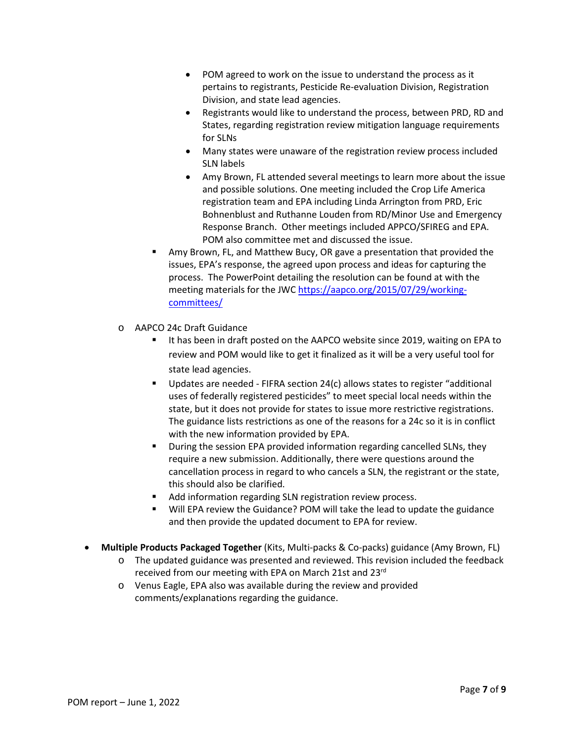- POM agreed to work on the issue to understand the process as it pertains to registrants, Pesticide Re-evaluation Division, Registration Division, and state lead agencies.
- Registrants would like to understand the process, between PRD, RD and States, regarding registration review mitigation language requirements for SLNs
- Many states were unaware of the registration review process included SLN labels
- Amy Brown, FL attended several meetings to learn more about the issue and possible solutions. One meeting included the Crop Life America registration team and EPA including Linda Arrington from PRD, Eric Bohnenblust and Ruthanne Louden from RD/Minor Use and Emergency Response Branch. Other meetings included APPCO/SFIREG and EPA. POM also committee met and discussed the issue.
- Amy Brown, FL, and Matthew Bucy, OR gave a presentation that provided the issues, EPA's response, the agreed upon process and ideas for capturing the process. The PowerPoint detailing the resolution can be found at with the meeting materials for the JWC [https://aapco.org/2015/07/29/working](https://aapco.org/2015/07/29/working-committees/)[committees/](https://aapco.org/2015/07/29/working-committees/)
- o AAPCO 24c Draft Guidance
	- It has been in draft posted on the AAPCO website since 2019, waiting on EPA to review and POM would like to get it finalized as it will be a very useful tool for state lead agencies.
	- Updates are needed FIFRA section 24(c) allows states to register "additional uses of federally registered pesticides" to meet special local needs within the state, but it does not provide for states to issue more restrictive registrations. The guidance lists restrictions as one of the reasons for a 24c so it is in conflict with the new information provided by EPA.
	- **•** During the session EPA provided information regarding cancelled SLNs, they require a new submission. Additionally, there were questions around the cancellation process in regard to who cancels a SLN, the registrant or the state, this should also be clarified.
	- Add information regarding SLN registration review process.
	- Will EPA review the Guidance? POM will take the lead to update the guidance and then provide the updated document to EPA for review.
- **Multiple Products Packaged Together** (Kits, Multi-packs & Co-packs) guidance (Amy Brown, FL)
	- o The updated guidance was presented and reviewed. This revision included the feedback received from our meeting with EPA on March 21st and 23rd
	- o Venus Eagle, EPA also was available during the review and provided comments/explanations regarding the guidance.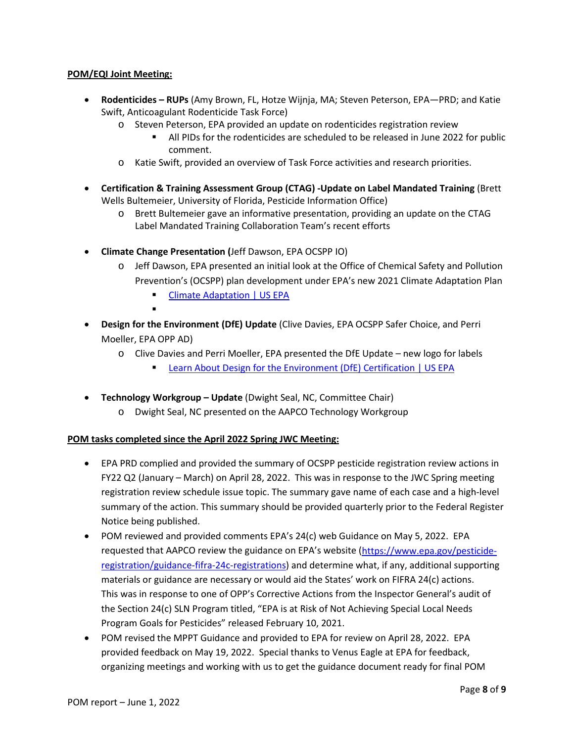## **POM/EQI Joint Meeting:**

- **Rodenticides – RUPs** (Amy Brown, FL, Hotze Wijnja, MA; Steven Peterson, EPA—PRD; and Katie Swift, Anticoagulant Rodenticide Task Force)
	- o Steven Peterson, EPA provided an update on rodenticides registration review
		- All PIDs for the rodenticides are scheduled to be released in June 2022 for public comment.
	- o Katie Swift, provided an overview of Task Force activities and research priorities.
- **Certification & Training Assessment Group (CTAG) -Update on Label Mandated Training** (Brett Wells Bultemeier, University of Florida, Pesticide Information Office)
	- o Brett Bultemeier gave an informative presentation, providing an update on the CTAG Label Mandated Training Collaboration Team's recent efforts
- **Climate Change Presentation (**Jeff Dawson, EPA OCSPP IO)
	- o Jeff Dawson, EPA presented an initial look at the Office of Chemical Safety and Pollution Prevention's (OCSPP) plan development under EPA's new 2021 Climate Adaptation Plan
		- **[Climate Adaptation | US EPA](https://www.epa.gov/climate-adaptation)**
		- .
- **Design for the Environment (DfE) Update** (Clive Davies, EPA OCSPP Safer Choice, and Perri Moeller, EPA OPP AD)
	- o Clive Davies and Perri Moeller, EPA presented the DfE Update new logo for labels
		- [Learn About Design for the Environment \(DfE\) Certification | US EPA](https://www.epa.gov/pesticide-labels/learn-about-design-environment-dfe-certification)
- **Technology Workgroup – Update** (Dwight Seal, NC, Committee Chair)
	- o Dwight Seal, NC presented on the AAPCO Technology Workgroup

### **POM tasks completed since the April 2022 Spring JWC Meeting:**

- EPA PRD complied and provided the summary of OCSPP pesticide registration review actions in FY22 Q2 (January – March) on April 28, 2022. This was in response to the JWC Spring meeting registration review schedule issue topic. The summary gave name of each case and a high-level summary of the action. This summary should be provided quarterly prior to the Federal Register Notice being published.
- POM reviewed and provided comments EPA's 24(c) web Guidance on May 5, 2022. EPA requested that AAPCO review the guidance on EPA's website [\(https://www.epa.gov/pesticide](https://www.epa.gov/pesticide-registration/guidance-fifra-24c-registrations)[registration/guidance-fifra-24c-registrations\)](https://www.epa.gov/pesticide-registration/guidance-fifra-24c-registrations) and determine what, if any, additional supporting materials or guidance are necessary or would aid the States' work on FIFRA 24(c) actions. This was in response to one of OPP's Corrective Actions from the Inspector General's audit of the Section 24(c) SLN Program titled, "EPA is at Risk of Not Achieving Special Local Needs Program Goals for Pesticides" released February 10, 2021.
- POM revised the MPPT Guidance and provided to EPA for review on April 28, 2022. EPA provided feedback on May 19, 2022. Special thanks to Venus Eagle at EPA for feedback, organizing meetings and working with us to get the guidance document ready for final POM